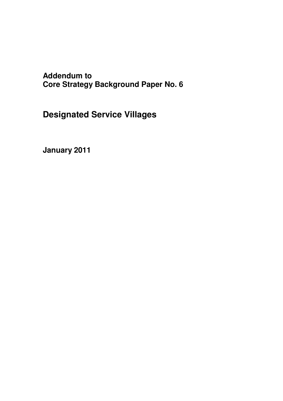# **Addendum to Core Strategy Background Paper No. 6**

**Designated Service Villages**

**January 2011**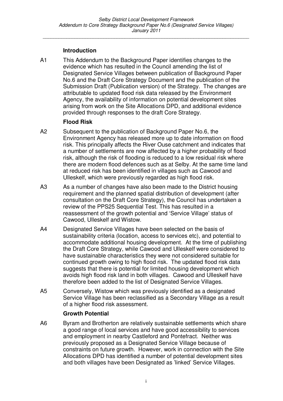*\_\_\_\_\_\_\_\_\_\_\_\_\_\_\_\_\_\_\_\_\_\_\_\_\_\_\_\_\_\_\_\_\_\_\_\_\_\_\_\_\_\_\_\_\_\_\_\_\_\_\_\_\_\_\_\_\_\_\_\_\_\_\_\_\_\_\_\_\_\_\_\_\_\_\_\_\_\_*

### **Introduction**

A1 This Addendum to the Background Paper identifies changes to the evidence which has resulted in the Council amending the list of Designated Service Villages between publication of Background Paper No.6 and the Draft Core Strategy Document and the publication of the Submission Draft (Publication version) of the Strategy. The changes are attributable to updated flood risk data released by the Environment Agency, the availability of information on potential development sites arising from work on the Site Allocations DPD, and additional evidence provided through responses to the draft Core Strategy.

#### **Flood Risk**

- A2 Subsequent to the publication of Background Paper No.6, the Environment Agency has released more up to date information on flood risk. This principally affects the River Ouse catchment and indicates that a number of settlements are now affected by a higher probability of flood risk, although the risk of flooding is reduced to a low residual risk where there are modern flood defences such as at Selby. At the same time land at reduced risk has been identified in villages such as Cawood and Ulleskelf, which were previously regarded as high flood risk.
- A3 As a number of changes have also been made to the District housing requirement and the planned spatial distribution of development (after consultation on the Draft Core Strategy), the Council has undertaken a review of the PPS25 Sequential Test. This has resulted in a reassessment of the growth potential and 'Service Village' status of Cawood, Ulleskelf and Wistow.
- A4 Designated Service Villages have been selected on the basis of sustainability criteria (location, access to services etc), and potential to accommodate additional housing development. At the time of publishing the Draft Core Strategy, while Cawood and Ulleskelf were considered to have sustainable characteristics they were not considered suitable for continued growth owing to high flood risk. The updated flood risk data suggests that there is potential for limited housing development which avoids high flood risk land in both villages. Cawood and Ulleskelf have therefore been added to the list of Designated Service Villages.
- A5 Conversely, Wistow which was previously identified as a designated Service Village has been reclassified as a Secondary Village as a result of a higher flood risk assessment.

#### **Growth Potential**

A6 Byram and Brotherton are relatively sustainable settlements which share a good range of local services and have good accessibility to services and employment in nearby Castleford and Pontefract. Neither was previously proposed as a Designated Service Village because of constraints on future growth. However, work in connection with the Site Allocations DPD has identified a number of potential development sites and both villages have been Designated as 'linked' Service Villages.